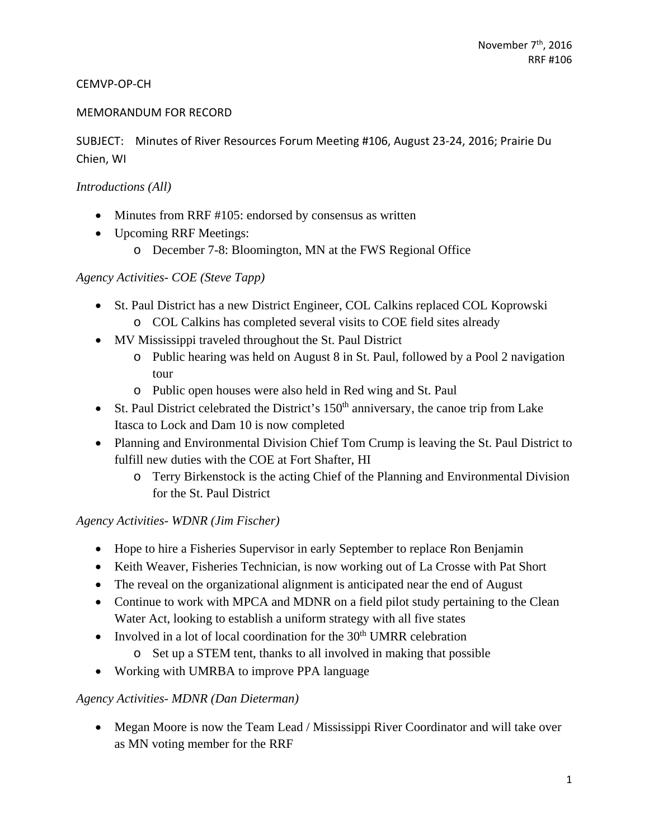#### CEMVP‐OP‐CH

#### MEMORANDUM FOR RECORD

SUBJECT: Minutes of River Resources Forum Meeting #106, August 23‐24, 2016; Prairie Du Chien, WI

#### *Introductions (All)*

- Minutes from RRF #105: endorsed by consensus as written
- Upcoming RRF Meetings:
	- o December 7-8: Bloomington, MN at the FWS Regional Office

### *Agency Activities- COE (Steve Tapp)*

- St. Paul District has a new District Engineer, COL Calkins replaced COL Koprowski
	- o COL Calkins has completed several visits to COE field sites already
- MV Mississippi traveled throughout the St. Paul District
	- o Public hearing was held on August 8 in St. Paul, followed by a Pool 2 navigation tour
	- o Public open houses were also held in Red wing and St. Paul
- St. Paul District celebrated the District's  $150<sup>th</sup>$  anniversary, the canoe trip from Lake Itasca to Lock and Dam 10 is now completed
- Planning and Environmental Division Chief Tom Crump is leaving the St. Paul District to fulfill new duties with the COE at Fort Shafter, HI
	- o Terry Birkenstock is the acting Chief of the Planning and Environmental Division for the St. Paul District

### *Agency Activities- WDNR (Jim Fischer)*

- Hope to hire a Fisheries Supervisor in early September to replace Ron Benjamin
- Keith Weaver, Fisheries Technician, is now working out of La Crosse with Pat Short
- The reveal on the organizational alignment is anticipated near the end of August
- Continue to work with MPCA and MDNR on a field pilot study pertaining to the Clean Water Act, looking to establish a uniform strategy with all five states
- Involved in a lot of local coordination for the  $30<sup>th</sup>$  UMRR celebration
	- o Set up a STEM tent, thanks to all involved in making that possible
- Working with UMRBA to improve PPA language

### *Agency Activities- MDNR (Dan Dieterman)*

• Megan Moore is now the Team Lead / Mississippi River Coordinator and will take over as MN voting member for the RRF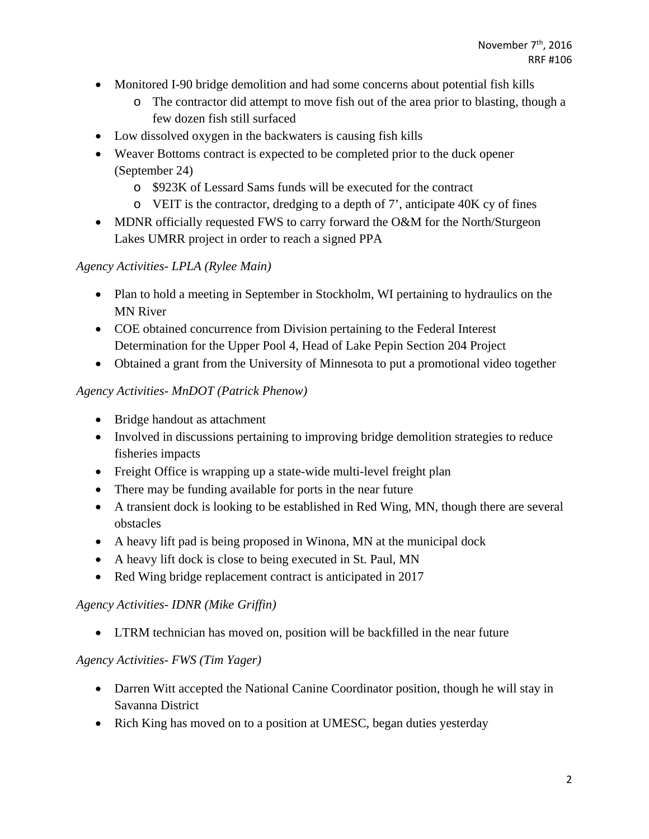- Monitored I-90 bridge demolition and had some concerns about potential fish kills
	- o The contractor did attempt to move fish out of the area prior to blasting, though a few dozen fish still surfaced
- Low dissolved oxygen in the backwaters is causing fish kills
- Weaver Bottoms contract is expected to be completed prior to the duck opener (September 24)
	- o \$923K of Lessard Sams funds will be executed for the contract
	- $\circ$  VEIT is the contractor, dredging to a depth of 7', anticipate 40K cy of fines
- MDNR officially requested FWS to carry forward the O&M for the North/Sturgeon Lakes UMRR project in order to reach a signed PPA

## *Agency Activities- LPLA (Rylee Main)*

- Plan to hold a meeting in September in Stockholm, WI pertaining to hydraulics on the MN River
- COE obtained concurrence from Division pertaining to the Federal Interest Determination for the Upper Pool 4, Head of Lake Pepin Section 204 Project
- Obtained a grant from the University of Minnesota to put a promotional video together

### *Agency Activities- MnDOT (Patrick Phenow)*

- Bridge handout as attachment
- Involved in discussions pertaining to improving bridge demolition strategies to reduce fisheries impacts
- Freight Office is wrapping up a state-wide multi-level freight plan
- There may be funding available for ports in the near future
- A transient dock is looking to be established in Red Wing, MN, though there are several obstacles
- A heavy lift pad is being proposed in Winona, MN at the municipal dock
- A heavy lift dock is close to being executed in St. Paul, MN
- Red Wing bridge replacement contract is anticipated in 2017

### *Agency Activities- IDNR (Mike Griffin)*

LTRM technician has moved on, position will be backfilled in the near future

### *Agency Activities- FWS (Tim Yager)*

- Darren Witt accepted the National Canine Coordinator position, though he will stay in Savanna District
- Rich King has moved on to a position at UMESC, began duties yesterday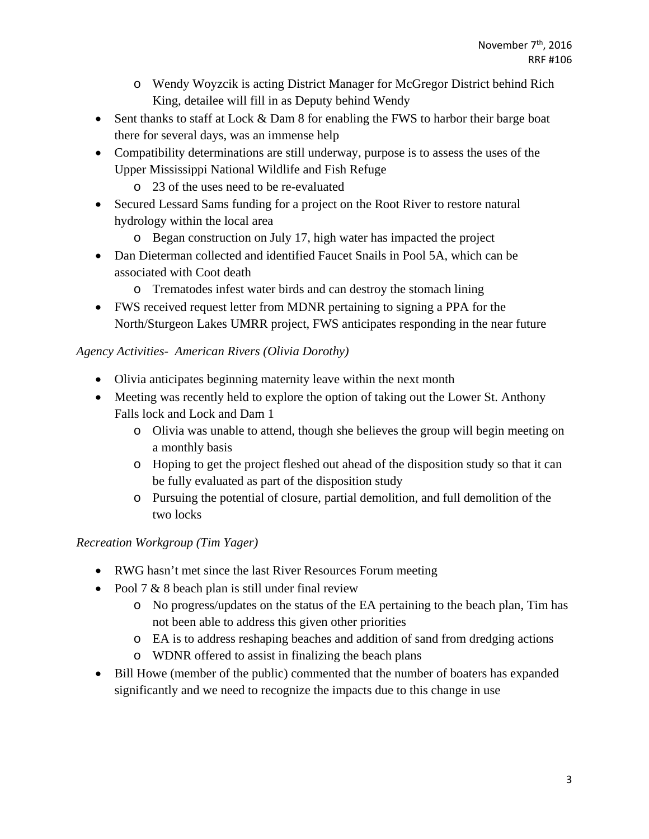- o Wendy Woyzcik is acting District Manager for McGregor District behind Rich King, detailee will fill in as Deputy behind Wendy
- Sent thanks to staff at Lock & Dam 8 for enabling the FWS to harbor their barge boat there for several days, was an immense help
- Compatibility determinations are still underway, purpose is to assess the uses of the Upper Mississippi National Wildlife and Fish Refuge
	- o 23 of the uses need to be re-evaluated
- Secured Lessard Sams funding for a project on the Root River to restore natural hydrology within the local area
	- o Began construction on July 17, high water has impacted the project
- Dan Dieterman collected and identified Faucet Snails in Pool 5A, which can be associated with Coot death
	- o Trematodes infest water birds and can destroy the stomach lining
- FWS received request letter from MDNR pertaining to signing a PPA for the North/Sturgeon Lakes UMRR project, FWS anticipates responding in the near future

## *Agency Activities- American Rivers (Olivia Dorothy)*

- Olivia anticipates beginning maternity leave within the next month
- Meeting was recently held to explore the option of taking out the Lower St. Anthony Falls lock and Lock and Dam 1
	- o Olivia was unable to attend, though she believes the group will begin meeting on a monthly basis
	- o Hoping to get the project fleshed out ahead of the disposition study so that it can be fully evaluated as part of the disposition study
	- o Pursuing the potential of closure, partial demolition, and full demolition of the two locks

## *Recreation Workgroup (Tim Yager)*

- RWG hasn't met since the last River Resources Forum meeting
- Pool 7  $&$  8 beach plan is still under final review
	- o No progress/updates on the status of the EA pertaining to the beach plan, Tim has not been able to address this given other priorities
	- o EA is to address reshaping beaches and addition of sand from dredging actions
	- o WDNR offered to assist in finalizing the beach plans
- Bill Howe (member of the public) commented that the number of boaters has expanded significantly and we need to recognize the impacts due to this change in use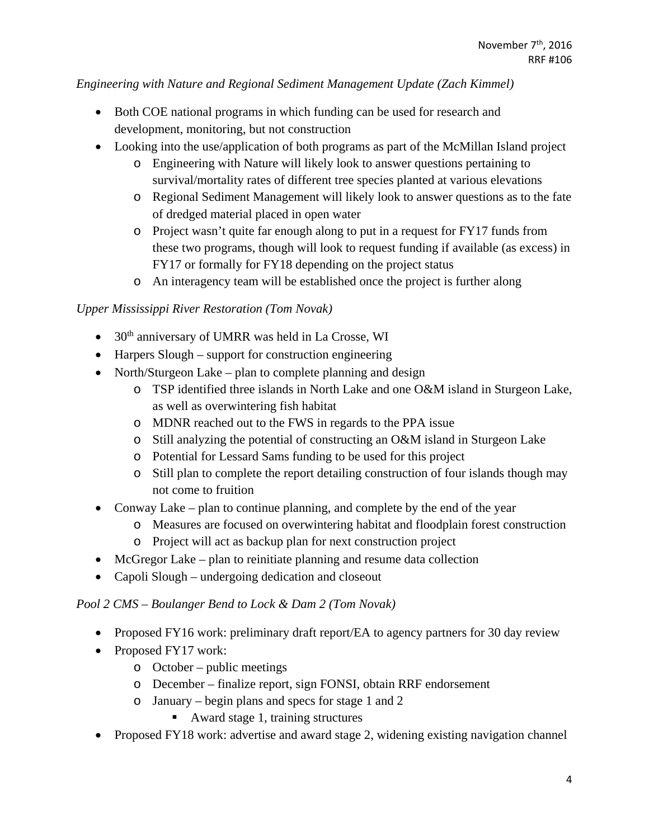*Engineering with Nature and Regional Sediment Management Update (Zach Kimmel)* 

- Both COE national programs in which funding can be used for research and development, monitoring, but not construction
- Looking into the use/application of both programs as part of the McMillan Island project
	- o Engineering with Nature will likely look to answer questions pertaining to survival/mortality rates of different tree species planted at various elevations
	- o Regional Sediment Management will likely look to answer questions as to the fate of dredged material placed in open water
	- o Project wasn't quite far enough along to put in a request for FY17 funds from these two programs, though will look to request funding if available (as excess) in FY17 or formally for FY18 depending on the project status
	- o An interagency team will be established once the project is further along

## *Upper Mississippi River Restoration (Tom Novak)*

- $\bullet$  30<sup>th</sup> anniversary of UMRR was held in La Crosse, WI
- Harpers Slough support for construction engineering
- North/Sturgeon Lake plan to complete planning and design
	- o TSP identified three islands in North Lake and one O&M island in Sturgeon Lake, as well as overwintering fish habitat
	- o MDNR reached out to the FWS in regards to the PPA issue
	- o Still analyzing the potential of constructing an O&M island in Sturgeon Lake
	- o Potential for Lessard Sams funding to be used for this project
	- o Still plan to complete the report detailing construction of four islands though may not come to fruition
- Conway Lake plan to continue planning, and complete by the end of the year
	- o Measures are focused on overwintering habitat and floodplain forest construction
	- o Project will act as backup plan for next construction project
- McGregor Lake plan to reinitiate planning and resume data collection
- Capoli Slough undergoing dedication and closeout

## *Pool 2 CMS – Boulanger Bend to Lock & Dam 2 (Tom Novak)*

- Proposed FY16 work: preliminary draft report/EA to agency partners for 30 day review
- Proposed FY17 work:
	- o October public meetings
	- o December finalize report, sign FONSI, obtain RRF endorsement
	- o January begin plans and specs for stage 1 and 2
		- Award stage 1, training structures
- Proposed FY18 work: advertise and award stage 2, widening existing navigation channel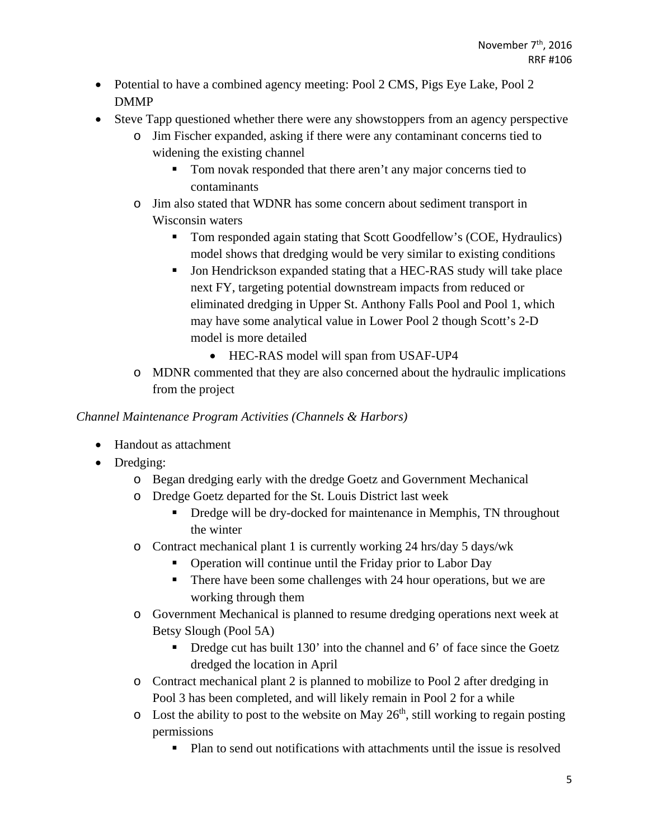- Potential to have a combined agency meeting: Pool 2 CMS, Pigs Eye Lake, Pool 2 DMMP
- Steve Tapp questioned whether there were any showstoppers from an agency perspective
	- o Jim Fischer expanded, asking if there were any contaminant concerns tied to widening the existing channel
		- Tom novak responded that there aren't any major concerns tied to contaminants
	- o Jim also stated that WDNR has some concern about sediment transport in Wisconsin waters
		- Tom responded again stating that Scott Goodfellow's (COE, Hydraulics) model shows that dredging would be very similar to existing conditions
		- Jon Hendrickson expanded stating that a HEC-RAS study will take place next FY, targeting potential downstream impacts from reduced or eliminated dredging in Upper St. Anthony Falls Pool and Pool 1, which may have some analytical value in Lower Pool 2 though Scott's 2-D model is more detailed
			- HEC-RAS model will span from USAF-UP4
	- o MDNR commented that they are also concerned about the hydraulic implications from the project

### *Channel Maintenance Program Activities (Channels & Harbors)*

- Handout as attachment
- Dredging:
	- o Began dredging early with the dredge Goetz and Government Mechanical
	- o Dredge Goetz departed for the St. Louis District last week
		- Dredge will be dry-docked for maintenance in Memphis, TN throughout the winter
	- o Contract mechanical plant 1 is currently working 24 hrs/day 5 days/wk
		- Operation will continue until the Friday prior to Labor Day
		- There have been some challenges with 24 hour operations, but we are working through them
	- o Government Mechanical is planned to resume dredging operations next week at Betsy Slough (Pool 5A)
		- $\blacksquare$  Dredge cut has built 130' into the channel and 6' of face since the Goetz dredged the location in April
	- o Contract mechanical plant 2 is planned to mobilize to Pool 2 after dredging in Pool 3 has been completed, and will likely remain in Pool 2 for a while
	- $\circ$  Lost the ability to post to the website on May 26<sup>th</sup>, still working to regain posting permissions
		- Plan to send out notifications with attachments until the issue is resolved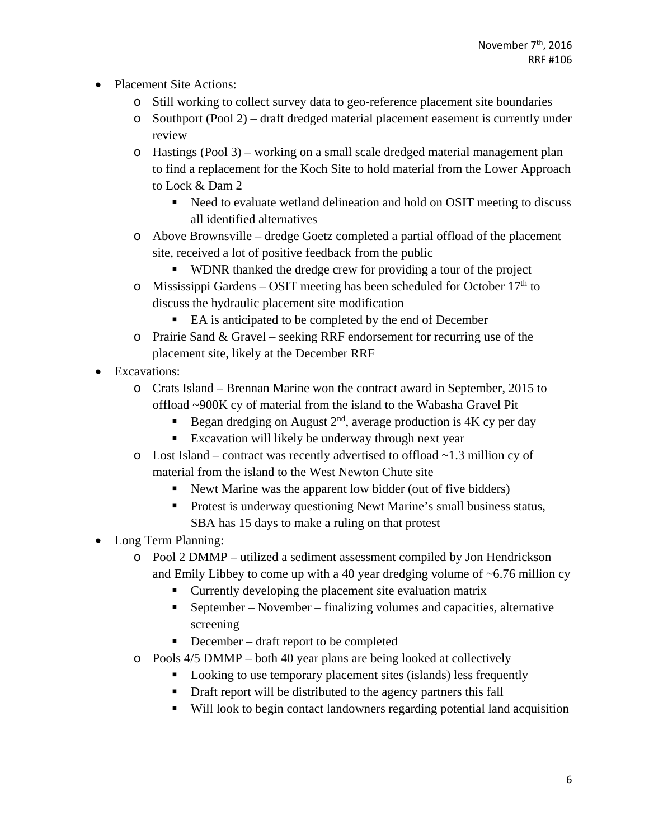- Placement Site Actions:
	- o Still working to collect survey data to geo-reference placement site boundaries
	- o Southport (Pool 2) draft dredged material placement easement is currently under review
	- o Hastings (Pool 3) working on a small scale dredged material management plan to find a replacement for the Koch Site to hold material from the Lower Approach to Lock & Dam 2
		- Need to evaluate wetland delineation and hold on OSIT meeting to discuss all identified alternatives
	- o Above Brownsville dredge Goetz completed a partial offload of the placement site, received a lot of positive feedback from the public
		- WDNR thanked the dredge crew for providing a tour of the project
	- o Mississippi Gardens OSIT meeting has been scheduled for October  $17<sup>th</sup>$  to discuss the hydraulic placement site modification
		- EA is anticipated to be completed by the end of December
	- $\circ$  Prairie Sand & Gravel seeking RRF endorsement for recurring use of the placement site, likely at the December RRF
- Excavations:
	- o Crats Island Brennan Marine won the contract award in September, 2015 to offload ~900K cy of material from the island to the Wabasha Gravel Pit
		- Began dredging on August  $2<sup>nd</sup>$ , average production is 4K cy per day
		- **Excavation will likely be underway through next year**
	- $\circ$  Lost Island contract was recently advertised to offload  $\sim$  1.3 million cy of material from the island to the West Newton Chute site
		- Newt Marine was the apparent low bidder (out of five bidders)
		- **Protest is underway questioning Newt Marine's small business status,** SBA has 15 days to make a ruling on that protest
- Long Term Planning:
	- o Pool 2 DMMP utilized a sediment assessment compiled by Jon Hendrickson and Emily Libbey to come up with a 40 year dredging volume of  $\sim 6.76$  million cy
		- Currently developing the placement site evaluation matrix
		- September November finalizing volumes and capacities, alternative screening
		- December draft report to be completed
	- o Pools 4/5 DMMP both 40 year plans are being looked at collectively
		- Looking to use temporary placement sites (islands) less frequently
		- Draft report will be distributed to the agency partners this fall
		- Will look to begin contact landowners regarding potential land acquisition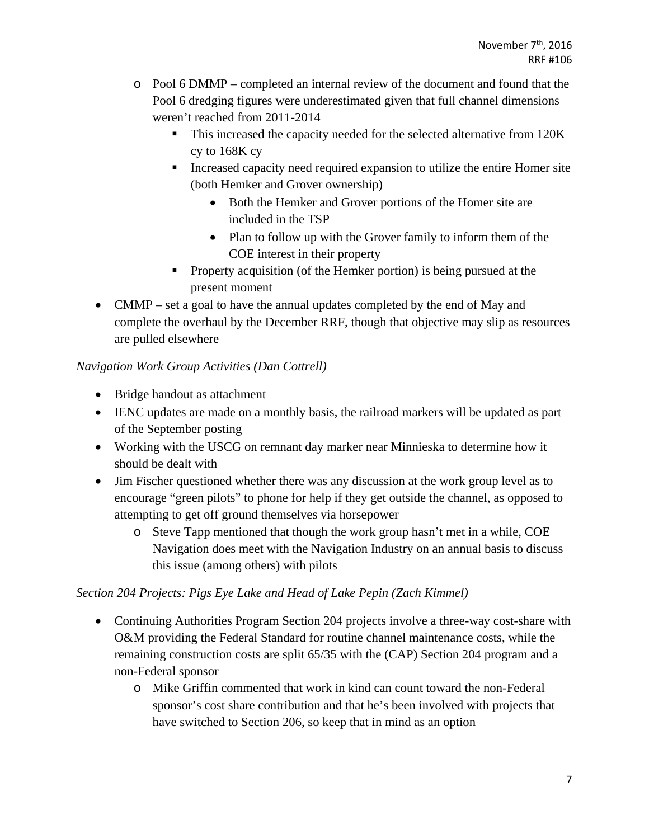- o Pool 6 DMMP completed an internal review of the document and found that the Pool 6 dredging figures were underestimated given that full channel dimensions weren't reached from 2011-2014
	- This increased the capacity needed for the selected alternative from 120K cy to 168K cy
	- Increased capacity need required expansion to utilize the entire Homer site (both Hemker and Grover ownership)
		- Both the Hemker and Grover portions of the Homer site are included in the TSP
		- Plan to follow up with the Grover family to inform them of the COE interest in their property
	- **Property acquisition (of the Hemker portion) is being pursued at the** present moment
- CMMP set a goal to have the annual updates completed by the end of May and complete the overhaul by the December RRF, though that objective may slip as resources are pulled elsewhere

## *Navigation Work Group Activities (Dan Cottrell)*

- Bridge handout as attachment
- IENC updates are made on a monthly basis, the railroad markers will be updated as part of the September posting
- Working with the USCG on remnant day marker near Minnieska to determine how it should be dealt with
- Jim Fischer questioned whether there was any discussion at the work group level as to encourage "green pilots" to phone for help if they get outside the channel, as opposed to attempting to get off ground themselves via horsepower
	- o Steve Tapp mentioned that though the work group hasn't met in a while, COE Navigation does meet with the Navigation Industry on an annual basis to discuss this issue (among others) with pilots

# *Section 204 Projects: Pigs Eye Lake and Head of Lake Pepin (Zach Kimmel)*

- Continuing Authorities Program Section 204 projects involve a three-way cost-share with O&M providing the Federal Standard for routine channel maintenance costs, while the remaining construction costs are split 65/35 with the (CAP) Section 204 program and a non-Federal sponsor
	- o Mike Griffin commented that work in kind can count toward the non-Federal sponsor's cost share contribution and that he's been involved with projects that have switched to Section 206, so keep that in mind as an option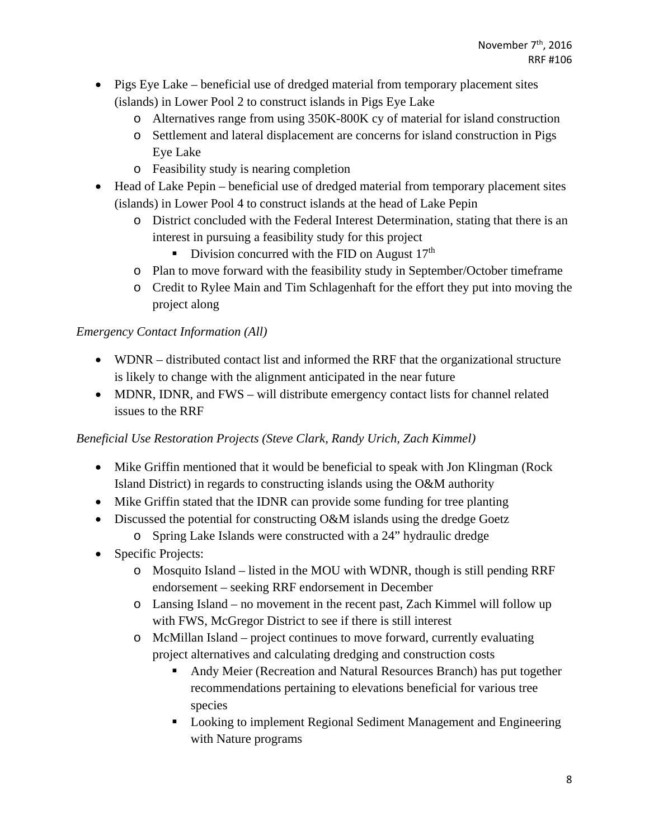- Pigs Eye Lake beneficial use of dredged material from temporary placement sites (islands) in Lower Pool 2 to construct islands in Pigs Eye Lake
	- o Alternatives range from using 350K-800K cy of material for island construction
	- o Settlement and lateral displacement are concerns for island construction in Pigs Eye Lake
	- o Feasibility study is nearing completion
- Head of Lake Pepin beneficial use of dredged material from temporary placement sites (islands) in Lower Pool 4 to construct islands at the head of Lake Pepin
	- o District concluded with the Federal Interest Determination, stating that there is an interest in pursuing a feasibility study for this project
		- Division concurred with the FID on August  $17<sup>th</sup>$
	- o Plan to move forward with the feasibility study in September/October timeframe
	- o Credit to Rylee Main and Tim Schlagenhaft for the effort they put into moving the project along

# *Emergency Contact Information (All)*

- WDNR distributed contact list and informed the RRF that the organizational structure is likely to change with the alignment anticipated in the near future
- MDNR, IDNR, and FWS will distribute emergency contact lists for channel related issues to the RRF

# *Beneficial Use Restoration Projects (Steve Clark, Randy Urich, Zach Kimmel)*

- Mike Griffin mentioned that it would be beneficial to speak with Jon Klingman (Rock Island District) in regards to constructing islands using the O&M authority
- Mike Griffin stated that the IDNR can provide some funding for tree planting
- Discussed the potential for constructing O&M islands using the dredge Goetz
	- o Spring Lake Islands were constructed with a 24" hydraulic dredge
- Specific Projects:
	- o Mosquito Island listed in the MOU with WDNR, though is still pending RRF endorsement – seeking RRF endorsement in December
	- o Lansing Island no movement in the recent past, Zach Kimmel will follow up with FWS, McGregor District to see if there is still interest
	- o McMillan Island project continues to move forward, currently evaluating project alternatives and calculating dredging and construction costs
		- Andy Meier (Recreation and Natural Resources Branch) has put together recommendations pertaining to elevations beneficial for various tree species
		- Looking to implement Regional Sediment Management and Engineering with Nature programs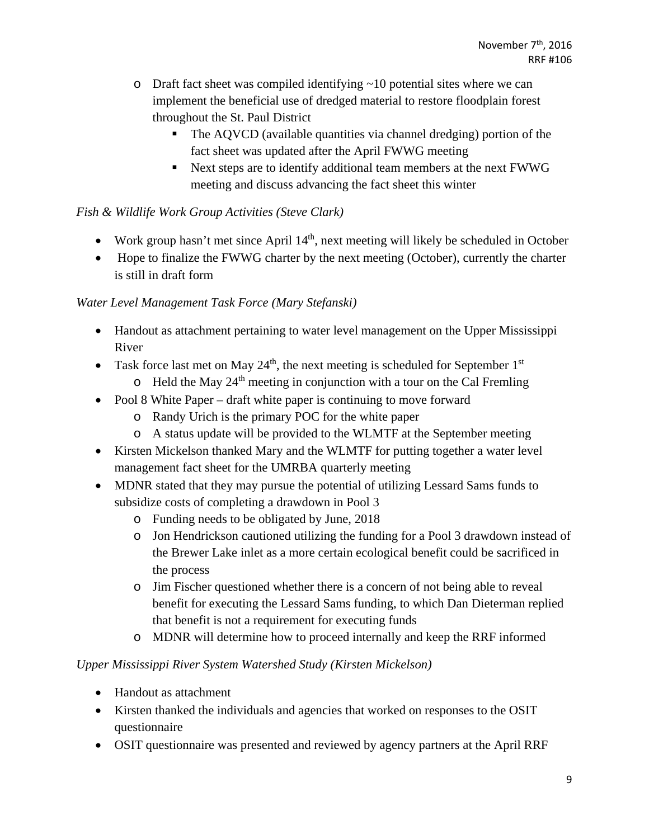- $\circ$  Draft fact sheet was compiled identifying  $\sim$  10 potential sites where we can implement the beneficial use of dredged material to restore floodplain forest throughout the St. Paul District
	- The AQVCD (available quantities via channel dredging) portion of the fact sheet was updated after the April FWWG meeting
	- Next steps are to identify additional team members at the next FWWG meeting and discuss advancing the fact sheet this winter

## *Fish & Wildlife Work Group Activities (Steve Clark)*

- Work group hasn't met since April  $14<sup>th</sup>$ , next meeting will likely be scheduled in October
- Hope to finalize the FWWG charter by the next meeting (October), currently the charter is still in draft form

## *Water Level Management Task Force (Mary Stefanski)*

- Handout as attachment pertaining to water level management on the Upper Mississippi River
- Task force last met on May  $24<sup>th</sup>$ , the next meeting is scheduled for September 1<sup>st</sup>  $\circ$  Held the May 24<sup>th</sup> meeting in conjunction with a tour on the Cal Fremling
- Pool 8 White Paper draft white paper is continuing to move forward
	- o Randy Urich is the primary POC for the white paper
	- o A status update will be provided to the WLMTF at the September meeting
- Kirsten Mickelson thanked Mary and the WLMTF for putting together a water level management fact sheet for the UMRBA quarterly meeting
- MDNR stated that they may pursue the potential of utilizing Lessard Sams funds to subsidize costs of completing a drawdown in Pool 3
	- o Funding needs to be obligated by June, 2018
	- o Jon Hendrickson cautioned utilizing the funding for a Pool 3 drawdown instead of the Brewer Lake inlet as a more certain ecological benefit could be sacrificed in the process
	- o Jim Fischer questioned whether there is a concern of not being able to reveal benefit for executing the Lessard Sams funding, to which Dan Dieterman replied that benefit is not a requirement for executing funds
	- o MDNR will determine how to proceed internally and keep the RRF informed

## *Upper Mississippi River System Watershed Study (Kirsten Mickelson)*

- Handout as attachment
- Kirsten thanked the individuals and agencies that worked on responses to the OSIT questionnaire
- OSIT questionnaire was presented and reviewed by agency partners at the April RRF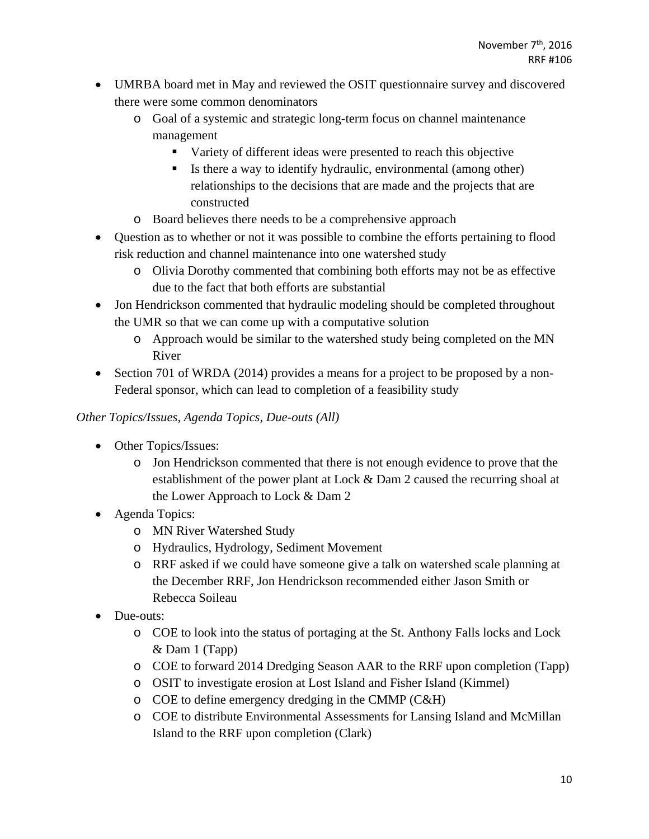- UMRBA board met in May and reviewed the OSIT questionnaire survey and discovered there were some common denominators
	- o Goal of a systemic and strategic long-term focus on channel maintenance management
		- Variety of different ideas were presented to reach this objective
		- Is there a way to identify hydraulic, environmental (among other) relationships to the decisions that are made and the projects that are constructed
	- o Board believes there needs to be a comprehensive approach
- Question as to whether or not it was possible to combine the efforts pertaining to flood risk reduction and channel maintenance into one watershed study
	- o Olivia Dorothy commented that combining both efforts may not be as effective due to the fact that both efforts are substantial
- Jon Hendrickson commented that hydraulic modeling should be completed throughout the UMR so that we can come up with a computative solution
	- o Approach would be similar to the watershed study being completed on the MN River
- Section 701 of WRDA (2014) provides a means for a project to be proposed by a non-Federal sponsor, which can lead to completion of a feasibility study

*Other Topics/Issues, Agenda Topics, Due-outs (All)* 

- Other Topics/Issues:
	- o Jon Hendrickson commented that there is not enough evidence to prove that the establishment of the power plant at Lock & Dam 2 caused the recurring shoal at the Lower Approach to Lock & Dam 2
- Agenda Topics:
	- o MN River Watershed Study
	- o Hydraulics, Hydrology, Sediment Movement
	- o RRF asked if we could have someone give a talk on watershed scale planning at the December RRF, Jon Hendrickson recommended either Jason Smith or Rebecca Soileau
- Due-outs:
	- o COE to look into the status of portaging at the St. Anthony Falls locks and Lock & Dam 1 (Tapp)
	- o COE to forward 2014 Dredging Season AAR to the RRF upon completion (Tapp)
	- o OSIT to investigate erosion at Lost Island and Fisher Island (Kimmel)
	- o COE to define emergency dredging in the CMMP (C&H)
	- o COE to distribute Environmental Assessments for Lansing Island and McMillan Island to the RRF upon completion (Clark)